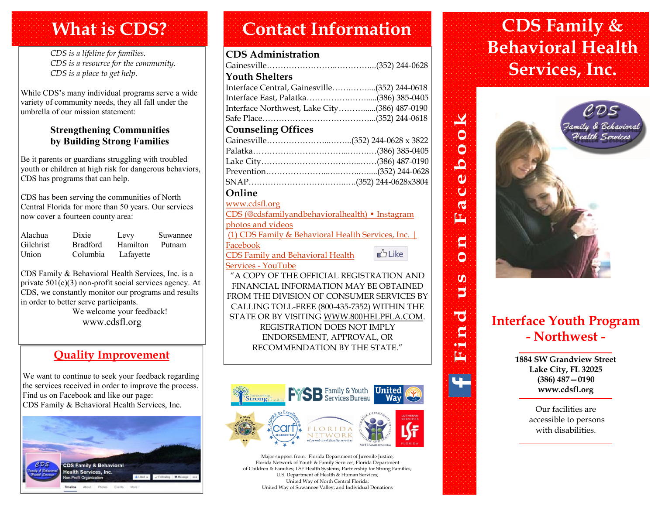### **What is CDS?**

*CDS is a lifeline for families. CDS is a resource for the community. CDS is a place to get help.*

While CDS's many individual programs serve a wide variety of community needs, they all fall under the umbrella of our mission statement:

#### **Strengthening Communities by Building Strong Families**

Be it parents or guardians struggling with troubled youth or children at high risk for dangerous behaviors, CDS has programs that can help.

CDS has been serving the communities of North Central Florida for more than 50 years. Our services now cover a fourteen county area:

| Alachua   | Dixie           | Levy      | Suwannee |
|-----------|-----------------|-----------|----------|
| Gilchrist | <b>Bradford</b> | Hamilton  | Putnam   |
| Union     | Columbia        | Lafayette |          |

CDS Family & Behavioral Health Services, Inc. is a private 501(c)(3) non-profit social services agency. At CDS, we constantly monitor our programs and results in order to better serve participants. We welcome your feedback! www.cdsfl.org

### **Quality Improvement**

We want to continue to seek your feedback regarding the services received in order to improve the process. Find us on Facebook and like our page: CDS Family & Behavioral Health Services, Inc.



### **Contact Information CDS Family &**

#### **CDS Administration**

| <b>Youth Shelters</b>                           |  |
|-------------------------------------------------|--|
| Interface Central, Gainesville(352) 244-0618    |  |
| Interface East, Palatka(386) 385-0405           |  |
| Interface Northwest, Lake City(386) 487-0190    |  |
|                                                 |  |
| <b>Counseling Offices</b>                       |  |
|                                                 |  |
|                                                 |  |
|                                                 |  |
|                                                 |  |
|                                                 |  |
| Online                                          |  |
| www.cdsfl.org                                   |  |
| CDS (@cdefamilyandbobayioralboalth) • Instagram |  |

and behavioralhealth) [photos and videos](https://www.instagram.com/cdsfamilyandbehavioralhealth/) [\(1\) CDS Family & Behavioral Health Services, Inc. |](https://www.facebook.com/CDSFamily)  [Facebook](https://www.facebook.com/CDSFamily)  $b$ Like [CDS Family and Behavioral Health](https://www.youtube.com/channel/UCQHtxshi6U3T1YheFQimrsA)  [Services -](https://www.youtube.com/channel/UCQHtxshi6U3T1YheFQimrsA) YouTube

"A COPY OF THE OFFICIAL REGISTRATION AND FINANCIAL INFORMATION MAY BE OBTAINED FROM THE DIVISION OF CONSUMER SERVICES BY CALLING TOLL-FREE (800-435-7352) WITHIN THE STATE OR BY VISITING WWW.800HELPFLA.COM. REGISTRATION DOES NOT IMPLY ENDORSEMENT, APPROVAL, OR RECOMMENDATION BY THE STATE."



Major support from: Florida Department of Juvenile Justice; Florida Network of Youth & Family Services; Florida Department of Children & Families; LSF Health Systems; Partnership for Strong Families; U.S. Department of Health & Human Services; United Way of North Central Florida; United Way of Suwannee Valley; and Individual Donations

## **Behavioral Health Services, Inc.**



### **Interface Youth Program - Northwest -**

 $\overline{\bullet}$  $\mathbf{C}$ ٠Ħ 坕

**1884 SW Grandview Street Lake City, FL 32025 (386) 487—0190 www.cdsfl.org**

> Our facilities are accessible to persons with disabilities.